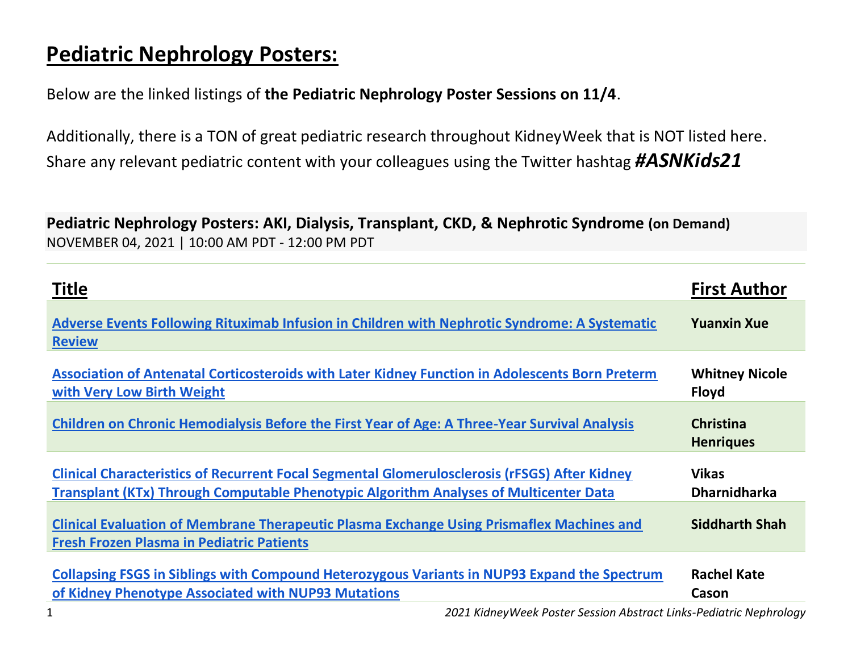## **Pediatric Nephrology Posters:**

Below are the linked listings of **the Pediatric Nephrology Poster Sessions on 11/4**.

Additionally, there is a TON of great pediatric research throughout KidneyWeek that is NOT listed here. Share any relevant pediatric content with your colleagues using the Twitter hashtag *#ASNKids21*

**Pediatric Nephrology Posters: AKI, Dialysis, Transplant, CKD, & Nephrotic Syndrome (on Demand)** NOVEMBER 04, 2021 | 10:00 AM PDT - 12:00 PM PDT

| <b>Title</b>                                                                                                                                                                                  | <b>First Author</b>                   |
|-----------------------------------------------------------------------------------------------------------------------------------------------------------------------------------------------|---------------------------------------|
| Adverse Events Following Rituximab Infusion in Children with Nephrotic Syndrome: A Systematic<br><b>Review</b>                                                                                | <b>Yuanxin Xue</b>                    |
| Association of Antenatal Corticosteroids with Later Kidney Function in Adolescents Born Preterm<br>with Very Low Birth Weight                                                                 | <b>Whitney Nicole</b><br><b>Floyd</b> |
| <b>Children on Chronic Hemodialysis Before the First Year of Age: A Three-Year Survival Analysis</b>                                                                                          | <b>Christina</b><br><b>Henriques</b>  |
| <b>Clinical Characteristics of Recurrent Focal Segmental Glomerulosclerosis (rFSGS) After Kidney</b><br>Transplant (KTx) Through Computable Phenotypic Algorithm Analyses of Multicenter Data | <b>Vikas</b><br><b>Dharnidharka</b>   |
| <b>Clinical Evaluation of Membrane Therapeutic Plasma Exchange Using Prismaflex Machines and</b><br><b>Fresh Frozen Plasma in Pediatric Patients</b>                                          | <b>Siddharth Shah</b>                 |
| Collapsing FSGS in Siblings with Compound Heterozygous Variants in NUP93 Expand the Spectrum<br>of Kidney Phenotype Associated with NUP93 Mutations                                           | <b>Rachel Kate</b><br>Cason           |

1 *2021 KidneyWeek Poster Session Abstract Links-Pediatric Nephrology*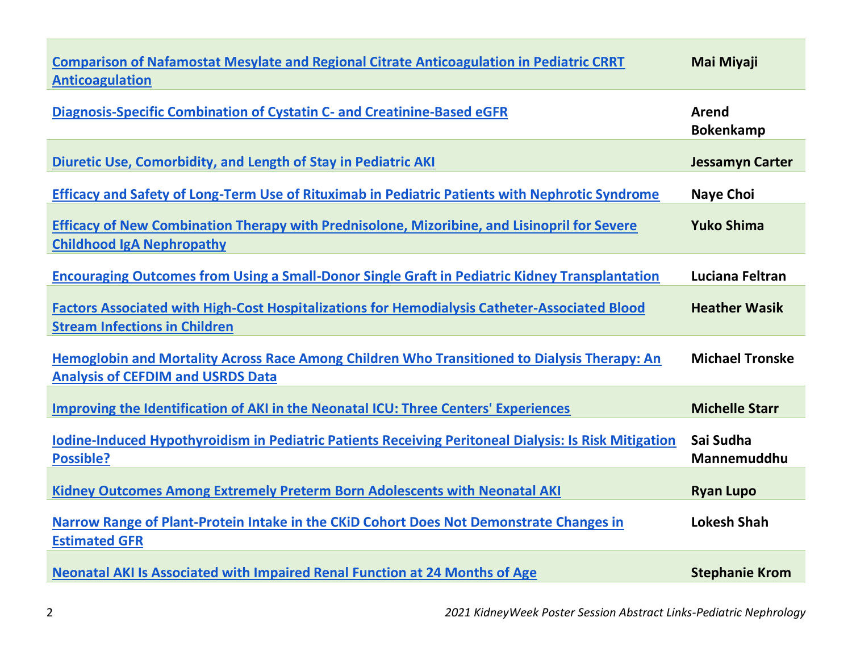| <b>Comparison of Nafamostat Mesylate and Regional Citrate Anticoagulation in Pediatric CRRT</b><br><b>Anticoagulation</b>                    | Mai Miyaji                |
|----------------------------------------------------------------------------------------------------------------------------------------------|---------------------------|
| Diagnosis-Specific Combination of Cystatin C- and Creatinine-Based eGFR                                                                      | Arend<br><b>Bokenkamp</b> |
| <b>Diuretic Use, Comorbidity, and Length of Stay in Pediatric AKI</b>                                                                        | <b>Jessamyn Carter</b>    |
| Efficacy and Safety of Long-Term Use of Rituximab in Pediatric Patients with Nephrotic Syndrome                                              | <b>Naye Choi</b>          |
| <b>Efficacy of New Combination Therapy with Prednisolone, Mizoribine, and Lisinopril for Severe</b><br><b>Childhood IgA Nephropathy</b>      | <b>Yuko Shima</b>         |
| <b>Encouraging Outcomes from Using a Small-Donor Single Graft in Pediatric Kidney Transplantation</b>                                        | Luciana Feltran           |
| <b>Factors Associated with High-Cost Hospitalizations for Hemodialysis Catheter-Associated Blood</b><br><b>Stream Infections in Children</b> | <b>Heather Wasik</b>      |
| Hemoglobin and Mortality Across Race Among Children Who Transitioned to Dialysis Therapy: An<br><b>Analysis of CEFDIM and USRDS Data</b>     | <b>Michael Tronske</b>    |
| <b>Improving the Identification of AKI in the Neonatal ICU: Three Centers' Experiences</b>                                                   | <b>Michelle Starr</b>     |
| <b>Iodine-Induced Hypothyroidism in Pediatric Patients Receiving Peritoneal Dialysis: Is Risk Mitigation</b><br><b>Possible?</b>             | Sai Sudha<br>Mannemuddhu  |
| <b>Kidney Outcomes Among Extremely Preterm Born Adolescents with Neonatal AKI</b>                                                            | <b>Ryan Lupo</b>          |
| Narrow Range of Plant-Protein Intake in the CKiD Cohort Does Not Demonstrate Changes in<br><b>Estimated GFR</b>                              | <b>Lokesh Shah</b>        |
| <b>Neonatal AKI Is Associated with Impaired Renal Function at 24 Months of Age</b>                                                           | <b>Stephanie Krom</b>     |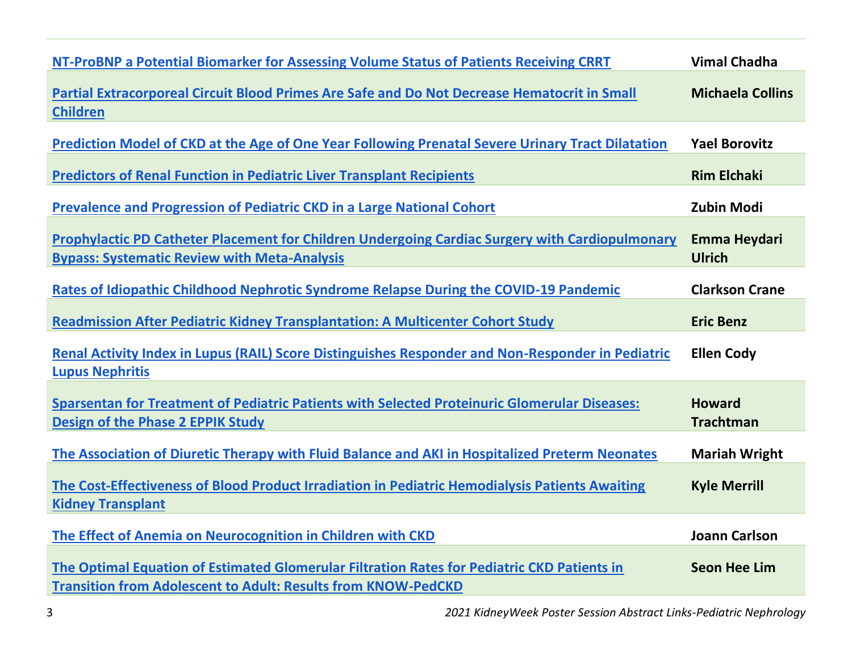| NT-ProBNP a Potential Biomarker for Assessing Volume Status of Patients Receiving CRRT                                                                              | <b>Vimal Chadha</b>               |
|---------------------------------------------------------------------------------------------------------------------------------------------------------------------|-----------------------------------|
| Partial Extracorporeal Circuit Blood Primes Are Safe and Do Not Decrease Hematocrit in Small<br><b>Children</b>                                                     | <b>Michaela Collins</b>           |
| Prediction Model of CKD at the Age of One Year Following Prenatal Severe Urinary Tract Dilatation                                                                   | <b>Yael Borovitz</b>              |
| <b>Predictors of Renal Function in Pediatric Liver Transplant Recipients</b>                                                                                        | <b>Rim Elchaki</b>                |
| <b>Prevalence and Progression of Pediatric CKD in a Large National Cohort</b>                                                                                       | <b>Zubin Modi</b>                 |
| Prophylactic PD Catheter Placement for Children Undergoing Cardiac Surgery with Cardiopulmonary<br><b>Bypass: Systematic Review with Meta-Analysis</b>              | Emma Heydari<br><b>Ulrich</b>     |
| Rates of Idiopathic Childhood Nephrotic Syndrome Relapse During the COVID-19 Pandemic                                                                               | <b>Clarkson Crane</b>             |
| <b>Readmission After Pediatric Kidney Transplantation: A Multicenter Cohort Study</b>                                                                               | <b>Eric Benz</b>                  |
| Renal Activity Index in Lupus (RAIL) Score Distinguishes Responder and Non-Responder in Pediatric<br><b>Lupus Nephritis</b>                                         | <b>Ellen Cody</b>                 |
| <b>Sparsentan for Treatment of Pediatric Patients with Selected Proteinuric Glomerular Diseases:</b><br><b>Design of the Phase 2 EPPIK Study</b>                    | <b>Howard</b><br><b>Trachtman</b> |
| The Association of Diuretic Therapy with Fluid Balance and AKI in Hospitalized Preterm Neonates                                                                     | <b>Mariah Wright</b>              |
| The Cost-Effectiveness of Blood Product Irradiation in Pediatric Hemodialysis Patients Awaiting<br><b>Kidney Transplant</b>                                         | <b>Kyle Merrill</b>               |
| The Effect of Anemia on Neurocognition in Children with CKD                                                                                                         | <b>Joann Carlson</b>              |
| The Optimal Equation of Estimated Glomerular Filtration Rates for Pediatric CKD Patients in<br><b>Transition from Adolescent to Adult: Results from KNOW-PedCKD</b> | <b>Seon Hee Lim</b>               |

3 *2021 KidneyWeek Poster Session Abstract Links-Pediatric Nephrology*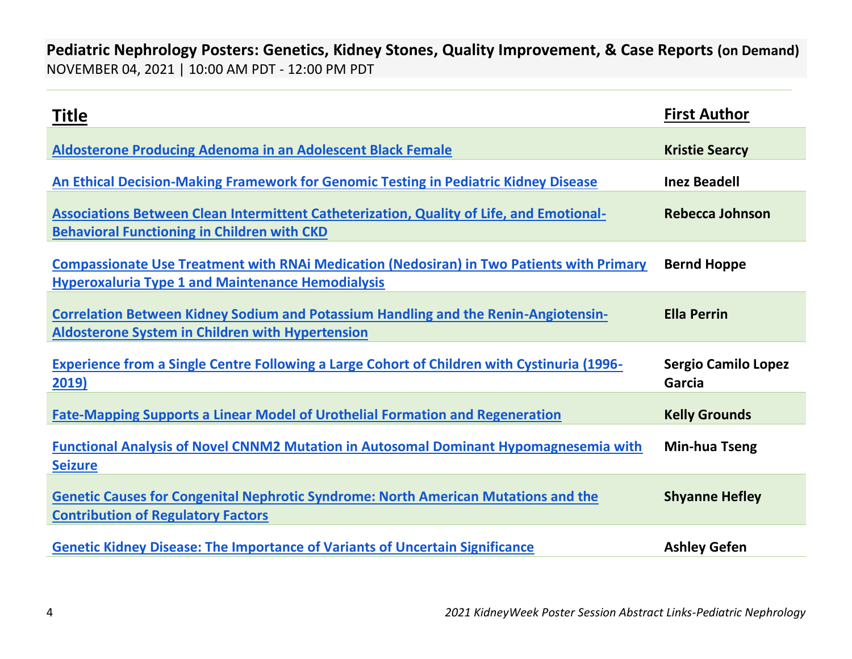**Pediatric Nephrology Posters: Genetics, Kidney Stones, Quality Improvement, & Case Reports (on Demand)** NOVEMBER 04, 2021 | 10:00 AM PDT - 12:00 PM PDT

| <b>Title</b>                                                                                                                                                 | <b>First Author</b>                  |
|--------------------------------------------------------------------------------------------------------------------------------------------------------------|--------------------------------------|
| <b>Aldosterone Producing Adenoma in an Adolescent Black Female</b>                                                                                           | <b>Kristie Searcy</b>                |
| An Ethical Decision-Making Framework for Genomic Testing in Pediatric Kidney Disease                                                                         | <b>Inez Beadell</b>                  |
| <b>Associations Between Clean Intermittent Catheterization, Quality of Life, and Emotional-</b><br><b>Behavioral Functioning in Children with CKD</b>        | <b>Rebecca Johnson</b>               |
| <b>Compassionate Use Treatment with RNAi Medication (Nedosiran) in Two Patients with Primary</b><br><b>Hyperoxaluria Type 1 and Maintenance Hemodialysis</b> | <b>Bernd Hoppe</b>                   |
| <b>Correlation Between Kidney Sodium and Potassium Handling and the Renin-Angiotensin-</b><br><b>Aldosterone System in Children with Hypertension</b>        | <b>Ella Perrin</b>                   |
| <b>Experience from a Single Centre Following a Large Cohort of Children with Cystinuria (1996-</b><br>2019)                                                  | <b>Sergio Camilo Lopez</b><br>Garcia |
| <b>Fate-Mapping Supports a Linear Model of Urothelial Formation and Regeneration</b>                                                                         | <b>Kelly Grounds</b>                 |
| <b>Functional Analysis of Novel CNNM2 Mutation in Autosomal Dominant Hypomagnesemia with</b><br><b>Seizure</b>                                               | Min-hua Tseng                        |
| <b>Genetic Causes for Congenital Nephrotic Syndrome: North American Mutations and the</b><br><b>Contribution of Regulatory Factors</b>                       | <b>Shyanne Hefley</b>                |
| <b>Genetic Kidney Disease: The Importance of Variants of Uncertain Significance</b>                                                                          | <b>Ashley Gefen</b>                  |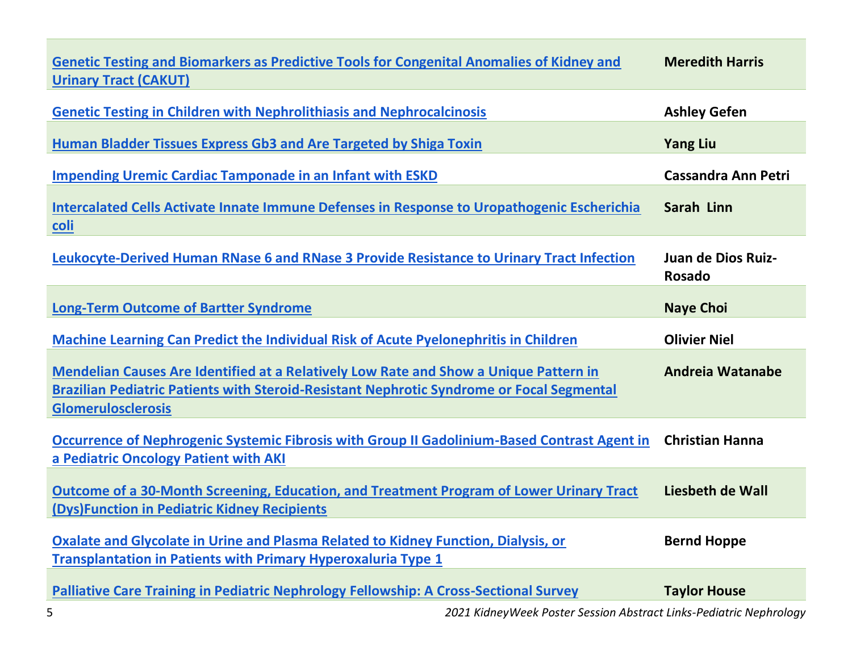| <b>Genetic Testing and Biomarkers as Predictive Tools for Congenital Anomalies of Kidney and</b><br><b>Urinary Tract (CAKUT)</b>                                                                                | <b>Meredith Harris</b>       |
|-----------------------------------------------------------------------------------------------------------------------------------------------------------------------------------------------------------------|------------------------------|
| <b>Genetic Testing in Children with Nephrolithiasis and Nephrocalcinosis</b>                                                                                                                                    | <b>Ashley Gefen</b>          |
| Human Bladder Tissues Express Gb3 and Are Targeted by Shiga Toxin                                                                                                                                               | <b>Yang Liu</b>              |
| <b>Impending Uremic Cardiac Tamponade in an Infant with ESKD</b>                                                                                                                                                | <b>Cassandra Ann Petri</b>   |
| Intercalated Cells Activate Innate Immune Defenses in Response to Uropathogenic Escherichia<br>coli                                                                                                             | Sarah Linn                   |
| Leukocyte-Derived Human RNase 6 and RNase 3 Provide Resistance to Urinary Tract Infection                                                                                                                       | Juan de Dios Ruiz-<br>Rosado |
| <b>Long-Term Outcome of Bartter Syndrome</b>                                                                                                                                                                    | <b>Naye Choi</b>             |
| Machine Learning Can Predict the Individual Risk of Acute Pyelonephritis in Children                                                                                                                            | <b>Olivier Niel</b>          |
| Mendelian Causes Are Identified at a Relatively Low Rate and Show a Unique Pattern in<br>Brazilian Pediatric Patients with Steroid-Resistant Nephrotic Syndrome or Focal Segmental<br><b>Glomerulosclerosis</b> | <b>Andreia Watanabe</b>      |
| Occurrence of Nephrogenic Systemic Fibrosis with Group II Gadolinium-Based Contrast Agent in                                                                                                                    | <b>Christian Hanna</b>       |
| a Pediatric Oncology Patient with AKI                                                                                                                                                                           |                              |
| Outcome of a 30-Month Screening, Education, and Treatment Program of Lower Urinary Tract<br>(Dys) Function in Pediatric Kidney Recipients                                                                       | Liesbeth de Wall             |
| Oxalate and Glycolate in Urine and Plasma Related to Kidney Function, Dialysis, or<br>Transplantation in Patients with Primary Hyperoxaluria Type 1                                                             | <b>Bernd Hoppe</b>           |

5 *2021 KidneyWeek Poster Session Abstract Links-Pediatric Nephrology*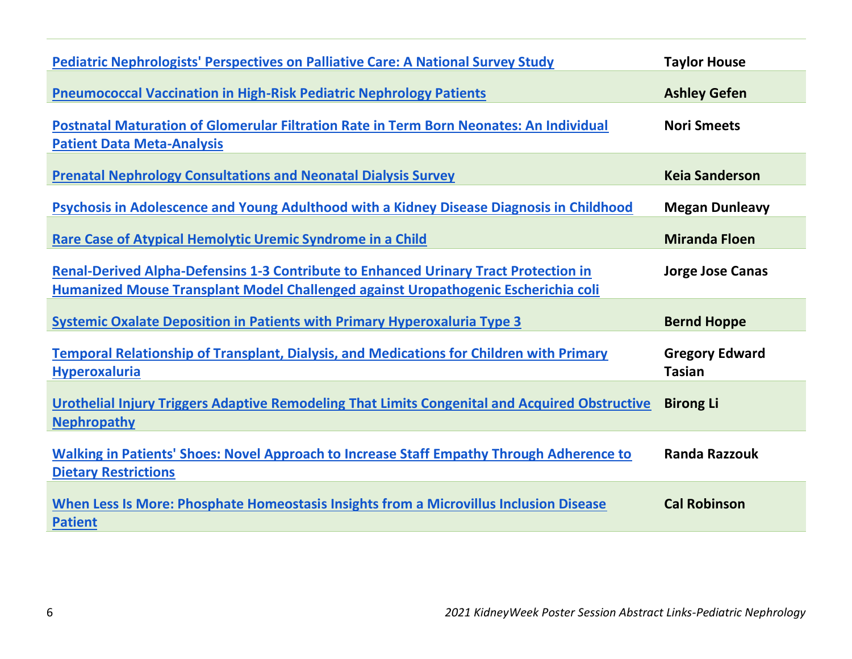| <b>Pediatric Nephrologists' Perspectives on Palliative Care: A National Survey Study</b>                                                                                          | <b>Taylor House</b>                    |
|-----------------------------------------------------------------------------------------------------------------------------------------------------------------------------------|----------------------------------------|
| <b>Pneumococcal Vaccination in High-Risk Pediatric Nephrology Patients</b>                                                                                                        | <b>Ashley Gefen</b>                    |
| Postnatal Maturation of Glomerular Filtration Rate in Term Born Neonates: An Individual<br><b>Patient Data Meta-Analysis</b>                                                      | <b>Nori Smeets</b>                     |
| <b>Prenatal Nephrology Consultations and Neonatal Dialysis Survey</b>                                                                                                             | <b>Keia Sanderson</b>                  |
| Psychosis in Adolescence and Young Adulthood with a Kidney Disease Diagnosis in Childhood                                                                                         | <b>Megan Dunleavy</b>                  |
| <b>Rare Case of Atypical Hemolytic Uremic Syndrome in a Child</b>                                                                                                                 | <b>Miranda Floen</b>                   |
| <b>Renal-Derived Alpha-Defensins 1-3 Contribute to Enhanced Urinary Tract Protection in</b><br>Humanized Mouse Transplant Model Challenged against Uropathogenic Escherichia coli | <b>Jorge Jose Canas</b>                |
| <b>Systemic Oxalate Deposition in Patients with Primary Hyperoxaluria Type 3</b>                                                                                                  | <b>Bernd Hoppe</b>                     |
| <b>Temporal Relationship of Transplant, Dialysis, and Medications for Children with Primary</b><br><b>Hyperoxaluria</b>                                                           | <b>Gregory Edward</b><br><b>Tasian</b> |
| Urothelial Injury Triggers Adaptive Remodeling That Limits Congenital and Acquired Obstructive<br><b>Nephropathy</b>                                                              | <b>Birong Li</b>                       |
| Walking in Patients' Shoes: Novel Approach to Increase Staff Empathy Through Adherence to<br><b>Dietary Restrictions</b>                                                          | <b>Randa Razzouk</b>                   |
| When Less Is More: Phosphate Homeostasis Insights from a Microvillus Inclusion Disease<br><b>Patient</b>                                                                          | <b>Cal Robinson</b>                    |